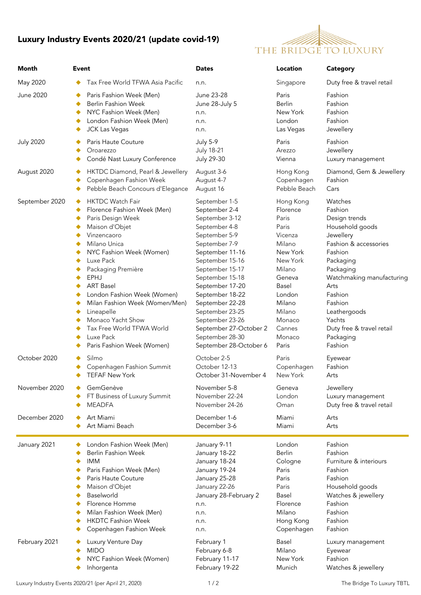## Luxury Industry Events 2020/21 (update covid-19)



| Month            | Event                                                                                                                                                                                                                                                                                                                                                                                                              | <b>Dates</b>                                                                                                                                                                                                                                                                                                                                          | <b>Location</b>                                                                                                                                                                        | <b>Category</b>                                                                                                                                                                                                                                                             |
|------------------|--------------------------------------------------------------------------------------------------------------------------------------------------------------------------------------------------------------------------------------------------------------------------------------------------------------------------------------------------------------------------------------------------------------------|-------------------------------------------------------------------------------------------------------------------------------------------------------------------------------------------------------------------------------------------------------------------------------------------------------------------------------------------------------|----------------------------------------------------------------------------------------------------------------------------------------------------------------------------------------|-----------------------------------------------------------------------------------------------------------------------------------------------------------------------------------------------------------------------------------------------------------------------------|
| May 2020         | Tax Free World TFWA Asia Pacific                                                                                                                                                                                                                                                                                                                                                                                   | n.n.                                                                                                                                                                                                                                                                                                                                                  | Singapore                                                                                                                                                                              | Duty free & travel retail                                                                                                                                                                                                                                                   |
| June 2020        | Paris Fashion Week (Men)<br><b>Berlin Fashion Week</b><br>٠<br>NYC Fashion Week (Men)<br>٠<br>London Fashion Week (Men)<br>٠<br><b>JCK Las Vegas</b>                                                                                                                                                                                                                                                               | June 23-28<br>June 28-July 5<br>n.n.<br>n.n.<br>n.n.                                                                                                                                                                                                                                                                                                  | Paris<br><b>Berlin</b><br>New York<br>London<br>Las Vegas                                                                                                                              | Fashion<br>Fashion<br>Fashion<br>Fashion<br>Jewellery                                                                                                                                                                                                                       |
| <b>July 2020</b> | Paris Haute Couture                                                                                                                                                                                                                                                                                                                                                                                                | <b>July 5-9</b>                                                                                                                                                                                                                                                                                                                                       | Paris                                                                                                                                                                                  | Fashion                                                                                                                                                                                                                                                                     |
|                  | Oroarezzo                                                                                                                                                                                                                                                                                                                                                                                                          | <b>July 18-21</b>                                                                                                                                                                                                                                                                                                                                     | Arezzo                                                                                                                                                                                 | Jewellery                                                                                                                                                                                                                                                                   |
|                  | Condé Nast Luxury Conference                                                                                                                                                                                                                                                                                                                                                                                       | July 29-30                                                                                                                                                                                                                                                                                                                                            | Vienna                                                                                                                                                                                 | Luxury management                                                                                                                                                                                                                                                           |
| August 2020      | HKTDC Diamond, Pearl & Jewellery                                                                                                                                                                                                                                                                                                                                                                                   | August 3-6                                                                                                                                                                                                                                                                                                                                            | Hong Kong                                                                                                                                                                              | Diamond, Gem & Jewellery                                                                                                                                                                                                                                                    |
|                  | Copenhagen Fashion Week                                                                                                                                                                                                                                                                                                                                                                                            | August 4-7                                                                                                                                                                                                                                                                                                                                            | Copenhagen                                                                                                                                                                             | Fashion                                                                                                                                                                                                                                                                     |
|                  | Pebble Beach Concours d'Elegance                                                                                                                                                                                                                                                                                                                                                                                   | August 16                                                                                                                                                                                                                                                                                                                                             | Pebble Beach                                                                                                                                                                           | Cars                                                                                                                                                                                                                                                                        |
| September 2020   | <b>HKTDC Watch Fair</b><br>٠<br>Florence Fashion Week (Men)<br>Paris Design Week<br>٠<br>Maison d'Objet<br>Vinzencaoro<br>Milano Unica<br>NYC Fashion Week (Women)<br>Luxe Pack<br>Packaging Première<br>EPHJ<br><b>ART Basel</b><br>London Fashion Week (Women)<br>Milan Fashion Week (Women/Men)<br>٠<br>Lineapelle<br>Monaco Yacht Show<br>Tax Free World TFWA World<br>Luxe Pack<br>Paris Fashion Week (Women) | September 1-5<br>September 2-4<br>September 3-12<br>September 4-8<br>September 5-9<br>September 7-9<br>September 11-16<br>September 15-16<br>September 15-17<br>September 15-18<br>September 17-20<br>September 18-22<br>September 22-28<br>September 23-25<br>September 23-26<br>September 27-October 2<br>September 28-30<br>September 28-October 6 | Hong Kong<br>Florence<br>Paris<br>Paris<br>Vicenza<br>Milano<br>New York<br>New York<br>Milano<br>Geneva<br>Basel<br>London<br>Milano<br>Milano<br>Monaco<br>Cannes<br>Monaco<br>Paris | Watches<br>Fashion<br>Design trends<br>Household goods<br>Jewellery<br>Fashion & accessories<br>Fashion<br>Packaging<br>Packaging<br>Watchmaking manufacturing<br>Arts<br>Fashion<br>Fashion<br>Leathergoods<br>Yachts<br>Duty free & travel retail<br>Packaging<br>Fashion |
| October 2020     | Silmo                                                                                                                                                                                                                                                                                                                                                                                                              | October 2-5                                                                                                                                                                                                                                                                                                                                           | Paris                                                                                                                                                                                  | Eyewear                                                                                                                                                                                                                                                                     |
|                  | Copenhagen Fashion Summit                                                                                                                                                                                                                                                                                                                                                                                          | October 12-13                                                                                                                                                                                                                                                                                                                                         | Copenhagen                                                                                                                                                                             | Fashion                                                                                                                                                                                                                                                                     |
|                  | <b>TEFAF New York</b>                                                                                                                                                                                                                                                                                                                                                                                              | October 31-November 4                                                                                                                                                                                                                                                                                                                                 | New York                                                                                                                                                                               | Arts                                                                                                                                                                                                                                                                        |
| November 2020    | GemGenève                                                                                                                                                                                                                                                                                                                                                                                                          | November 5-8                                                                                                                                                                                                                                                                                                                                          | Geneva                                                                                                                                                                                 | Jewellery                                                                                                                                                                                                                                                                   |
|                  | FT Business of Luxury Summit                                                                                                                                                                                                                                                                                                                                                                                       | November 22-24                                                                                                                                                                                                                                                                                                                                        | London                                                                                                                                                                                 | Luxury management                                                                                                                                                                                                                                                           |
|                  | <b>MEADFA</b>                                                                                                                                                                                                                                                                                                                                                                                                      | November 24-26                                                                                                                                                                                                                                                                                                                                        | Oman                                                                                                                                                                                   | Duty free & travel retail                                                                                                                                                                                                                                                   |
| December 2020    | Art Miami                                                                                                                                                                                                                                                                                                                                                                                                          | December 1-6                                                                                                                                                                                                                                                                                                                                          | Miami                                                                                                                                                                                  | Arts                                                                                                                                                                                                                                                                        |
|                  | Art Miami Beach                                                                                                                                                                                                                                                                                                                                                                                                    | December 3-6                                                                                                                                                                                                                                                                                                                                          | Miami                                                                                                                                                                                  | Arts                                                                                                                                                                                                                                                                        |
| January 2021     | London Fashion Week (Men)                                                                                                                                                                                                                                                                                                                                                                                          | January 9-11                                                                                                                                                                                                                                                                                                                                          | London                                                                                                                                                                                 | Fashion                                                                                                                                                                                                                                                                     |
|                  | <b>Berlin Fashion Week</b>                                                                                                                                                                                                                                                                                                                                                                                         | January 18-22                                                                                                                                                                                                                                                                                                                                         | Berlin                                                                                                                                                                                 | Fashion                                                                                                                                                                                                                                                                     |
|                  | IMM                                                                                                                                                                                                                                                                                                                                                                                                                | January 18-24                                                                                                                                                                                                                                                                                                                                         | Cologne                                                                                                                                                                                | Furniture & interiours                                                                                                                                                                                                                                                      |
|                  | Paris Fashion Week (Men)                                                                                                                                                                                                                                                                                                                                                                                           | January 19-24                                                                                                                                                                                                                                                                                                                                         | Paris                                                                                                                                                                                  | Fashion                                                                                                                                                                                                                                                                     |
|                  | Paris Haute Couture                                                                                                                                                                                                                                                                                                                                                                                                | January 25-28                                                                                                                                                                                                                                                                                                                                         | Paris                                                                                                                                                                                  | Fashion                                                                                                                                                                                                                                                                     |
|                  | Maison d'Objet                                                                                                                                                                                                                                                                                                                                                                                                     | January 22-26                                                                                                                                                                                                                                                                                                                                         | Paris                                                                                                                                                                                  | Household goods                                                                                                                                                                                                                                                             |
|                  | Baselworld                                                                                                                                                                                                                                                                                                                                                                                                         | January 28-February 2                                                                                                                                                                                                                                                                                                                                 | Basel                                                                                                                                                                                  | Watches & jewellery                                                                                                                                                                                                                                                         |
|                  | Florence Homme                                                                                                                                                                                                                                                                                                                                                                                                     | n.n.                                                                                                                                                                                                                                                                                                                                                  | Florence                                                                                                                                                                               | Fashion                                                                                                                                                                                                                                                                     |
|                  | Milan Fashion Week (Men)                                                                                                                                                                                                                                                                                                                                                                                           | n.n.                                                                                                                                                                                                                                                                                                                                                  | Milano                                                                                                                                                                                 | Fashion                                                                                                                                                                                                                                                                     |
|                  | <b>HKDTC Fashion Week</b>                                                                                                                                                                                                                                                                                                                                                                                          | n.n.                                                                                                                                                                                                                                                                                                                                                  | Hong Kong                                                                                                                                                                              | Fashion                                                                                                                                                                                                                                                                     |
|                  | Copenhagen Fashion Week                                                                                                                                                                                                                                                                                                                                                                                            | n.n.                                                                                                                                                                                                                                                                                                                                                  | Copenhagen                                                                                                                                                                             | Fashion                                                                                                                                                                                                                                                                     |
| February 2021    | Luxury Venture Day                                                                                                                                                                                                                                                                                                                                                                                                 | February 1                                                                                                                                                                                                                                                                                                                                            | Basel                                                                                                                                                                                  | Luxury management                                                                                                                                                                                                                                                           |
|                  | <b>MIDO</b>                                                                                                                                                                                                                                                                                                                                                                                                        | February 6-8                                                                                                                                                                                                                                                                                                                                          | Milano                                                                                                                                                                                 | Eyewear                                                                                                                                                                                                                                                                     |
|                  | NYC Fashion Week (Women)                                                                                                                                                                                                                                                                                                                                                                                           | February 11-17                                                                                                                                                                                                                                                                                                                                        | New York                                                                                                                                                                               | Fashion                                                                                                                                                                                                                                                                     |
|                  | Inhorgenta                                                                                                                                                                                                                                                                                                                                                                                                         | February 19-22                                                                                                                                                                                                                                                                                                                                        | Munich                                                                                                                                                                                 | Watches & jewellery                                                                                                                                                                                                                                                         |